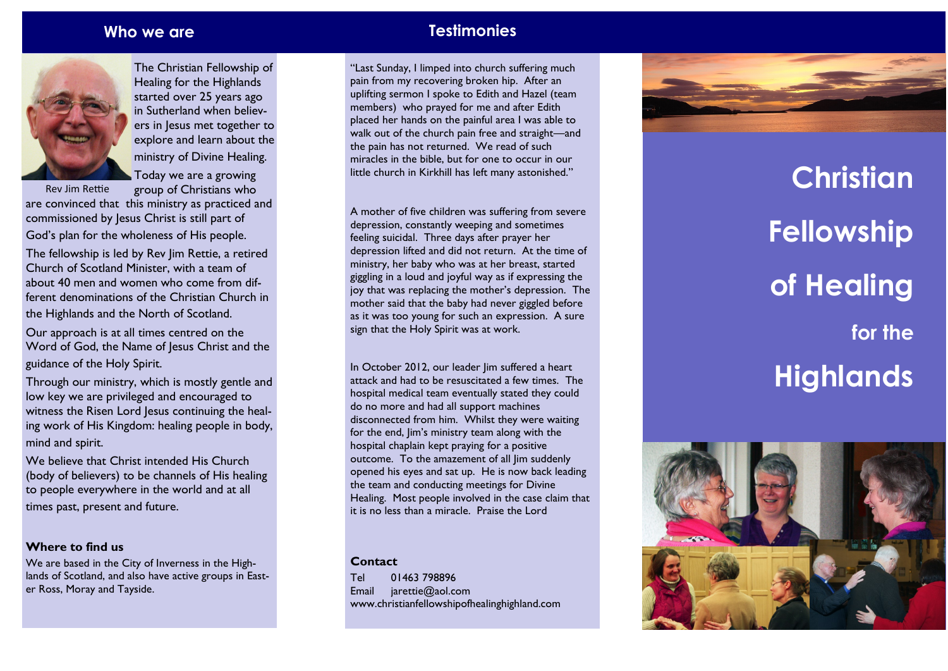

The Christian Fellowship of Healing for the Highlands started over 25 years ago in Sutherland when believers in Jesus met together to explore and learn about the ministry of Divine Healing. Today we are a growing

group of Christians who Rev Jim Rettie

are convinced that this ministry as practiced and commissioned by Jesus Christ is still part of God's plan for the wholeness of His people.

The fellowship is led by Rev Jim Rettie, a retired Church of Scotland Minister, with a team of about 40 men and women who come from different denominations of the Christian Church in the Highlands and the North of Scotland.

Our approach is at all times centred on the Word of God, the Name of Jesus Christ and the guidance of the Holy Spirit.

Through our ministry, which is mostly gentle and low key we are privileged and encouraged to witness the Risen Lord Jesus continuing the healing work of His Kingdom: healing people in body, mind and spirit.

We believe that Christ intended His Church (body of believers) to be channels of His healing to people everywhere in the world and at all

times past, present and future.

#### **Where to find us**

We are based in the City of Inverness in the Highlands of Scotland, and also have active groups in Easter Ross, Moray and Tayside.

# **Who we are Testimonies**

"Last Sunday, I limped into church suffering much pain from my recovering broken hip. After an uplifting sermon I spoke to Edith and Hazel (team members) who prayed for me and after Edith placed her hands on the painful area I was able to walk out of the church pain free and straight —and the pain has not returned. We read of such miracles in the bible, but for one to occur in our little church in Kirkhill has left many astonished."

A mother of five children was suffering from severe depression, constantly weeping and sometimes feeling suicidal. Three days after prayer her depression lifted and did not return. At the time of ministry, her baby who was at her breast, started giggling in a loud and joyful way as if expressing the joy that was replacing the mother's depression. The mother said that the baby had never giggled before as it was too young for such an expression. A sure sign that the Holy Spirit was at work.

In October 2012, our leader Jim suffered a heart attack and had to be resuscitated a few times. The hospital medical team eventually stated they could do no more and had all support machines disconnected from him. Whilst they were waiting for the end, Jim's ministry team along with the hospital chaplain kept praying for a positive outcome. To the amazement of all lim suddenly opened his eyes and sat up. He is now back leading the team and conducting meetings for Divine Healing. Most people involved in the case claim that it is no less than a miracle. Praise the Lord

#### **Contact**

Tel 01463 798896 Email jarettie@aol.com www.christianfellowshipofhealinghighland.com

# **Christian Fellowship of Healing for the Highlands**